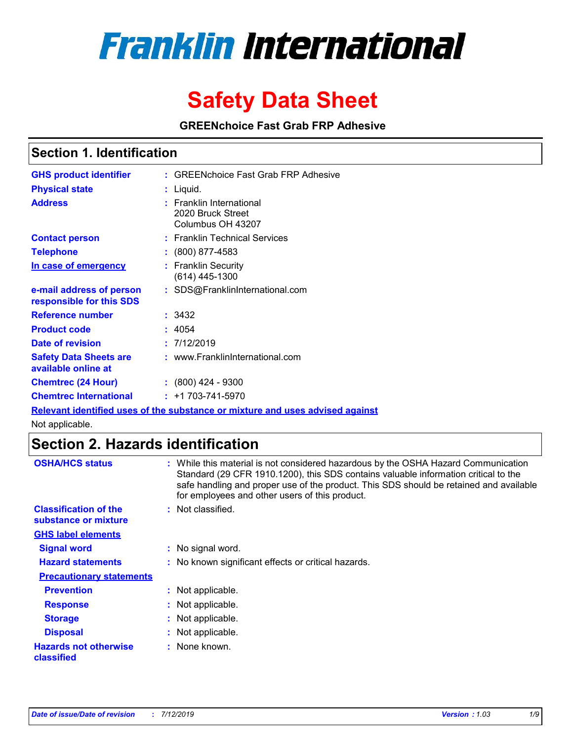

# **Safety Data Sheet**

**GREENchoice Fast Grab FRP Adhesive**

### **Section 1. Identification**

| <b>GHS product identifier</b>                        |        | : GREENchoice Fast Grab FRP Adhesive                               |
|------------------------------------------------------|--------|--------------------------------------------------------------------|
| <b>Physical state</b>                                |        | : Liquid.                                                          |
| <b>Address</b>                                       |        | : Franklin International<br>2020 Bruck Street<br>Columbus OH 43207 |
| <b>Contact person</b>                                |        | : Franklin Technical Services                                      |
| <b>Telephone</b>                                     |        | : (800) 877-4583                                                   |
| In case of emergency                                 |        | : Franklin Securitv<br>(614) 445-1300                              |
| e-mail address of person<br>responsible for this SDS |        | : SDS@FranklinInternational.com                                    |
| Reference number                                     |        | : 3432                                                             |
| <b>Product code</b>                                  | : 4054 |                                                                    |
| Date of revision                                     |        | : 7/12/2019                                                        |
| <b>Safety Data Sheets are</b><br>available online at |        | : www.FranklinInternational.com                                    |
| <b>Chemtrec (24 Hour)</b>                            |        | : (800) 424 - 9300                                                 |
| <b>Chemtrec International</b>                        |        | $: +1703 - 741 - 5970$                                             |

**Relevant identified uses of the substance or mixture and uses advised against**

Not applicable.

### **Section 2. Hazards identification**

| <b>OSHA/HCS status</b>                               | : While this material is not considered hazardous by the OSHA Hazard Communication<br>Standard (29 CFR 1910.1200), this SDS contains valuable information critical to the<br>safe handling and proper use of the product. This SDS should be retained and available<br>for employees and other users of this product. |
|------------------------------------------------------|-----------------------------------------------------------------------------------------------------------------------------------------------------------------------------------------------------------------------------------------------------------------------------------------------------------------------|
| <b>Classification of the</b><br>substance or mixture | : Not classified.                                                                                                                                                                                                                                                                                                     |
| <b>GHS label elements</b>                            |                                                                                                                                                                                                                                                                                                                       |
| <b>Signal word</b>                                   | : No signal word.                                                                                                                                                                                                                                                                                                     |
| <b>Hazard statements</b>                             | : No known significant effects or critical hazards.                                                                                                                                                                                                                                                                   |
| <b>Precautionary statements</b>                      |                                                                                                                                                                                                                                                                                                                       |
| <b>Prevention</b>                                    | : Not applicable.                                                                                                                                                                                                                                                                                                     |
| <b>Response</b>                                      | : Not applicable.                                                                                                                                                                                                                                                                                                     |
| <b>Storage</b>                                       | : Not applicable.                                                                                                                                                                                                                                                                                                     |
| <b>Disposal</b>                                      | : Not applicable.                                                                                                                                                                                                                                                                                                     |
| <b>Hazards not otherwise</b><br>classified           | : None known.                                                                                                                                                                                                                                                                                                         |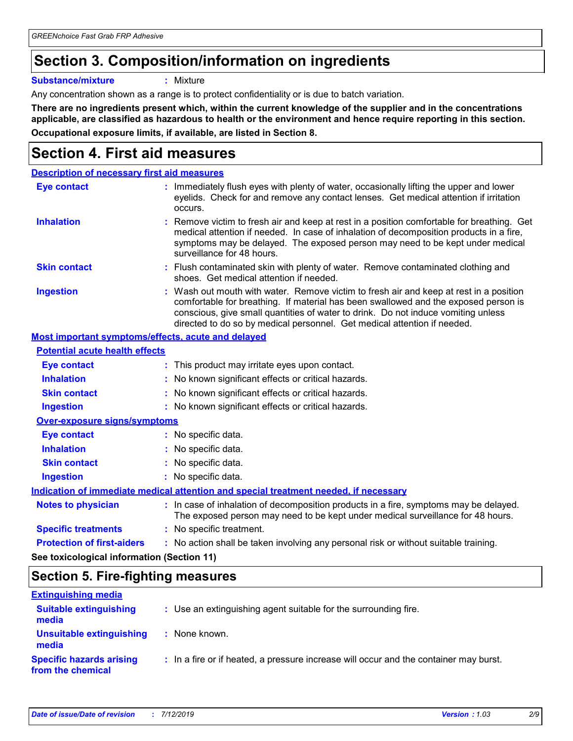# **Section 3. Composition/information on ingredients**

**Substance/mixture :** Mixture

Any concentration shown as a range is to protect confidentiality or is due to batch variation.

**There are no ingredients present which, within the current knowledge of the supplier and in the concentrations applicable, are classified as hazardous to health or the environment and hence require reporting in this section. Occupational exposure limits, if available, are listed in Section 8.**

# **Section 4. First aid measures**

| <b>Description of necessary first aid measures</b> |                                                                                                                                                                                                                                                                                                                                                |  |
|----------------------------------------------------|------------------------------------------------------------------------------------------------------------------------------------------------------------------------------------------------------------------------------------------------------------------------------------------------------------------------------------------------|--|
| <b>Eye contact</b>                                 | : Immediately flush eyes with plenty of water, occasionally lifting the upper and lower<br>eyelids. Check for and remove any contact lenses. Get medical attention if irritation<br>occurs.                                                                                                                                                    |  |
| <b>Inhalation</b>                                  | : Remove victim to fresh air and keep at rest in a position comfortable for breathing. Get<br>medical attention if needed. In case of inhalation of decomposition products in a fire,<br>symptoms may be delayed. The exposed person may need to be kept under medical<br>surveillance for 48 hours.                                           |  |
| <b>Skin contact</b>                                | : Flush contaminated skin with plenty of water. Remove contaminated clothing and<br>shoes. Get medical attention if needed.                                                                                                                                                                                                                    |  |
| <b>Ingestion</b>                                   | : Wash out mouth with water. Remove victim to fresh air and keep at rest in a position<br>comfortable for breathing. If material has been swallowed and the exposed person is<br>conscious, give small quantities of water to drink. Do not induce vomiting unless<br>directed to do so by medical personnel. Get medical attention if needed. |  |

### **Most important symptoms/effects, acute and delayed**

| <b>Potential acute health effects</b>      |                                                                                                                                                                          |  |
|--------------------------------------------|--------------------------------------------------------------------------------------------------------------------------------------------------------------------------|--|
| Eye contact                                | : This product may irritate eyes upon contact.                                                                                                                           |  |
| <b>Inhalation</b>                          | : No known significant effects or critical hazards.                                                                                                                      |  |
| <b>Skin contact</b>                        | : No known significant effects or critical hazards.                                                                                                                      |  |
| <b>Ingestion</b>                           | : No known significant effects or critical hazards.                                                                                                                      |  |
| <b>Over-exposure signs/symptoms</b>        |                                                                                                                                                                          |  |
| Eye contact                                | : No specific data.                                                                                                                                                      |  |
| <b>Inhalation</b>                          | : No specific data.                                                                                                                                                      |  |
| <b>Skin contact</b>                        | : No specific data.                                                                                                                                                      |  |
| <b>Ingestion</b>                           | : No specific data.                                                                                                                                                      |  |
|                                            | Indication of immediate medical attention and special treatment needed, if necessary                                                                                     |  |
| <b>Notes to physician</b>                  | : In case of inhalation of decomposition products in a fire, symptoms may be delayed.<br>The exposed person may need to be kept under medical surveillance for 48 hours. |  |
| <b>Specific treatments</b>                 | : No specific treatment.                                                                                                                                                 |  |
| <b>Protection of first-aiders</b>          | : No action shall be taken involving any personal risk or without suitable training.                                                                                     |  |
| See toxicological information (Section 11) |                                                                                                                                                                          |  |

### **Section 5. Fire-fighting measures**

| <b>Extinguishing media</b>                           |                                                                                       |
|------------------------------------------------------|---------------------------------------------------------------------------------------|
| <b>Suitable extinguishing</b><br>media               | : Use an extinguishing agent suitable for the surrounding fire.                       |
| Unsuitable extinguishing<br>media                    | : None known.                                                                         |
| <b>Specific hazards arising</b><br>from the chemical | : In a fire or if heated, a pressure increase will occur and the container may burst. |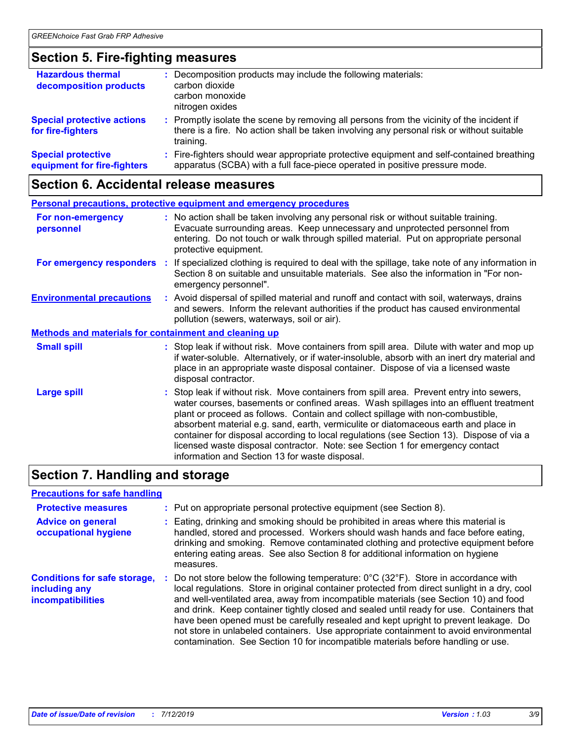### **Section 5. Fire-fighting measures**

| <b>Hazardous thermal</b><br>decomposition products       | : Decomposition products may include the following materials:<br>carbon dioxide<br>carbon monoxide<br>nitrogen oxides                                                                               |
|----------------------------------------------------------|-----------------------------------------------------------------------------------------------------------------------------------------------------------------------------------------------------|
| <b>Special protective actions</b><br>for fire-fighters   | : Promptly isolate the scene by removing all persons from the vicinity of the incident if<br>there is a fire. No action shall be taken involving any personal risk or without suitable<br>training. |
| <b>Special protective</b><br>equipment for fire-fighters | Fire-fighters should wear appropriate protective equipment and self-contained breathing<br>apparatus (SCBA) with a full face-piece operated in positive pressure mode.                              |

# **Section 6. Accidental release measures**

| Personal precautions, protective equipment and emergency procedures |  |                                                                                                                                                                                                                                                                                                                                                                                                                                                                                                                                                                                            |
|---------------------------------------------------------------------|--|--------------------------------------------------------------------------------------------------------------------------------------------------------------------------------------------------------------------------------------------------------------------------------------------------------------------------------------------------------------------------------------------------------------------------------------------------------------------------------------------------------------------------------------------------------------------------------------------|
| For non-emergency<br>personnel                                      |  | : No action shall be taken involving any personal risk or without suitable training.<br>Evacuate surrounding areas. Keep unnecessary and unprotected personnel from<br>entering. Do not touch or walk through spilled material. Put on appropriate personal<br>protective equipment.                                                                                                                                                                                                                                                                                                       |
| For emergency responders                                            |  | : If specialized clothing is required to deal with the spillage, take note of any information in<br>Section 8 on suitable and unsuitable materials. See also the information in "For non-<br>emergency personnel".                                                                                                                                                                                                                                                                                                                                                                         |
| <b>Environmental precautions</b>                                    |  | : Avoid dispersal of spilled material and runoff and contact with soil, waterways, drains<br>and sewers. Inform the relevant authorities if the product has caused environmental<br>pollution (sewers, waterways, soil or air).                                                                                                                                                                                                                                                                                                                                                            |
| <b>Methods and materials for containment and cleaning up</b>        |  |                                                                                                                                                                                                                                                                                                                                                                                                                                                                                                                                                                                            |
| <b>Small spill</b>                                                  |  | : Stop leak if without risk. Move containers from spill area. Dilute with water and mop up<br>if water-soluble. Alternatively, or if water-insoluble, absorb with an inert dry material and<br>place in an appropriate waste disposal container. Dispose of via a licensed waste<br>disposal contractor.                                                                                                                                                                                                                                                                                   |
| <b>Large spill</b>                                                  |  | : Stop leak if without risk. Move containers from spill area. Prevent entry into sewers,<br>water courses, basements or confined areas. Wash spillages into an effluent treatment<br>plant or proceed as follows. Contain and collect spillage with non-combustible,<br>absorbent material e.g. sand, earth, vermiculite or diatomaceous earth and place in<br>container for disposal according to local regulations (see Section 13). Dispose of via a<br>licensed waste disposal contractor. Note: see Section 1 for emergency contact<br>information and Section 13 for waste disposal. |

# **Section 7. Handling and storage**

| <b>Precautions for safe handling</b>                                      |                                                                                                                                                                                                                                                                                                                                                                                                                                                                                                                                                                                                                                                                 |
|---------------------------------------------------------------------------|-----------------------------------------------------------------------------------------------------------------------------------------------------------------------------------------------------------------------------------------------------------------------------------------------------------------------------------------------------------------------------------------------------------------------------------------------------------------------------------------------------------------------------------------------------------------------------------------------------------------------------------------------------------------|
| <b>Protective measures</b>                                                | : Put on appropriate personal protective equipment (see Section 8).                                                                                                                                                                                                                                                                                                                                                                                                                                                                                                                                                                                             |
| <b>Advice on general</b><br>occupational hygiene                          | : Eating, drinking and smoking should be prohibited in areas where this material is<br>handled, stored and processed. Workers should wash hands and face before eating,<br>drinking and smoking. Remove contaminated clothing and protective equipment before<br>entering eating areas. See also Section 8 for additional information on hygiene<br>measures.                                                                                                                                                                                                                                                                                                   |
| <b>Conditions for safe storage,</b><br>including any<br>incompatibilities | Do not store below the following temperature: $0^{\circ}$ C (32 $^{\circ}$ F). Store in accordance with<br>local regulations. Store in original container protected from direct sunlight in a dry, cool<br>and well-ventilated area, away from incompatible materials (see Section 10) and food<br>and drink. Keep container tightly closed and sealed until ready for use. Containers that<br>have been opened must be carefully resealed and kept upright to prevent leakage. Do<br>not store in unlabeled containers. Use appropriate containment to avoid environmental<br>contamination. See Section 10 for incompatible materials before handling or use. |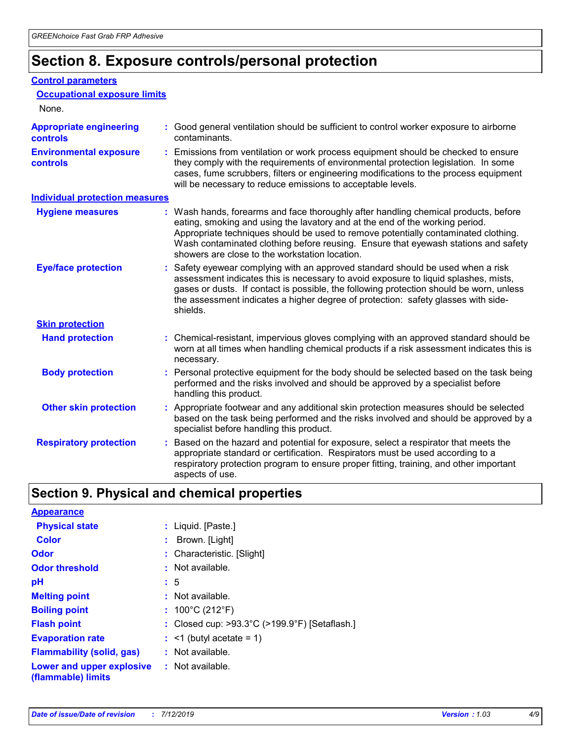# **Section 8. Exposure controls/personal protection**

#### **Control parameters**

| <b>Occupational exposure limits</b>               |                                                                                                                                                                                                                                                                                                                                                                                                   |
|---------------------------------------------------|---------------------------------------------------------------------------------------------------------------------------------------------------------------------------------------------------------------------------------------------------------------------------------------------------------------------------------------------------------------------------------------------------|
| None.                                             |                                                                                                                                                                                                                                                                                                                                                                                                   |
| <b>Appropriate engineering</b><br><b>controls</b> | : Good general ventilation should be sufficient to control worker exposure to airborne<br>contaminants.                                                                                                                                                                                                                                                                                           |
| <b>Environmental exposure</b><br><b>controls</b>  | : Emissions from ventilation or work process equipment should be checked to ensure<br>they comply with the requirements of environmental protection legislation. In some<br>cases, fume scrubbers, filters or engineering modifications to the process equipment<br>will be necessary to reduce emissions to acceptable levels.                                                                   |
| <b>Individual protection measures</b>             |                                                                                                                                                                                                                                                                                                                                                                                                   |
| <b>Hygiene measures</b>                           | : Wash hands, forearms and face thoroughly after handling chemical products, before<br>eating, smoking and using the lavatory and at the end of the working period.<br>Appropriate techniques should be used to remove potentially contaminated clothing.<br>Wash contaminated clothing before reusing. Ensure that eyewash stations and safety<br>showers are close to the workstation location. |
| <b>Eye/face protection</b>                        | : Safety eyewear complying with an approved standard should be used when a risk<br>assessment indicates this is necessary to avoid exposure to liquid splashes, mists,<br>gases or dusts. If contact is possible, the following protection should be worn, unless<br>the assessment indicates a higher degree of protection: safety glasses with side-<br>shields.                                |
| <b>Skin protection</b>                            |                                                                                                                                                                                                                                                                                                                                                                                                   |
| <b>Hand protection</b>                            | : Chemical-resistant, impervious gloves complying with an approved standard should be<br>worn at all times when handling chemical products if a risk assessment indicates this is<br>necessary.                                                                                                                                                                                                   |
| <b>Body protection</b>                            | : Personal protective equipment for the body should be selected based on the task being<br>performed and the risks involved and should be approved by a specialist before<br>handling this product.                                                                                                                                                                                               |
| <b>Other skin protection</b>                      | : Appropriate footwear and any additional skin protection measures should be selected<br>based on the task being performed and the risks involved and should be approved by a<br>specialist before handling this product.                                                                                                                                                                         |
| <b>Respiratory protection</b>                     | Based on the hazard and potential for exposure, select a respirator that meets the<br>appropriate standard or certification. Respirators must be used according to a<br>respiratory protection program to ensure proper fitting, training, and other important<br>aspects of use.                                                                                                                 |

# **Section 9. Physical and chemical properties**

| <b>Appearance</b>                                                       |                                                                    |
|-------------------------------------------------------------------------|--------------------------------------------------------------------|
| <b>Physical state</b>                                                   | : Liquid. [Paste.]                                                 |
| <b>Color</b>                                                            | : Brown. [Light]                                                   |
| Odor                                                                    | : Characteristic. [Slight]                                         |
| <b>Odor threshold</b>                                                   | : Not available.                                                   |
| рH                                                                      | : 5                                                                |
| <b>Melting point</b>                                                    | $:$ Not available.                                                 |
| <b>Boiling point</b>                                                    | : $100^{\circ}$ C (212 $^{\circ}$ F)                               |
| <b>Flash point</b>                                                      | : Closed cup: $>93.3^{\circ}$ C ( $>199.9^{\circ}$ F) [Setaflash.] |
| <b>Evaporation rate</b>                                                 | $:$ <1 (butyl acetate = 1)                                         |
| <b>Flammability (solid, gas)</b>                                        | $:$ Not available.                                                 |
| <b>Lower and upper explosive : Not available.</b><br>(flammable) limits |                                                                    |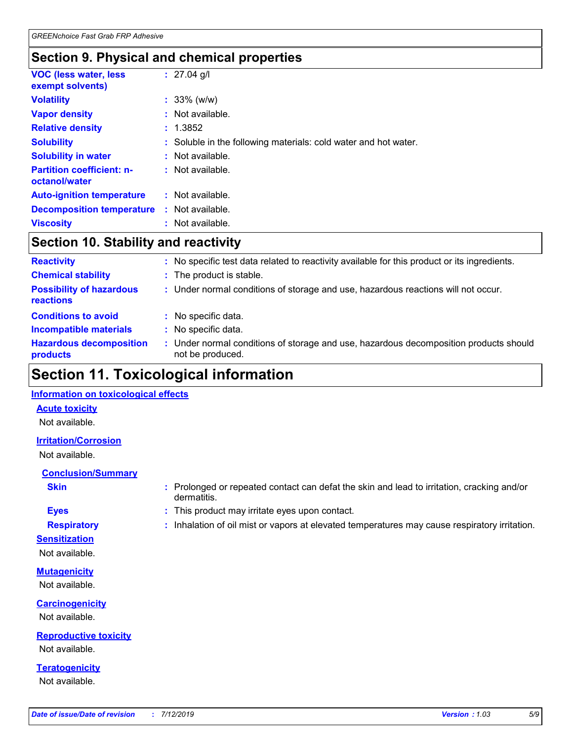# **Section 9. Physical and chemical properties**

| <b>VOC (less water, less)</b><br>exempt solvents) | $: 27.04$ g/l                                                   |
|---------------------------------------------------|-----------------------------------------------------------------|
| <b>Volatility</b>                                 | $: 33\%$ (w/w)                                                  |
| <b>Vapor density</b>                              | $:$ Not available.                                              |
| <b>Relative density</b>                           | : 1.3852                                                        |
| <b>Solubility</b>                                 | : Soluble in the following materials: cold water and hot water. |
| <b>Solubility in water</b>                        | : Not available.                                                |
| <b>Partition coefficient: n-</b><br>octanol/water | : Not available.                                                |
| <b>Auto-ignition temperature</b>                  | : Not available.                                                |
| <b>Decomposition temperature</b>                  | : Not available.                                                |
| <b>Viscosity</b>                                  | : Not available.                                                |

### **Section 10. Stability and reactivity**

| <b>Reactivity</b>                            | : No specific test data related to reactivity available for this product or its ingredients.            |
|----------------------------------------------|---------------------------------------------------------------------------------------------------------|
| <b>Chemical stability</b>                    | : The product is stable.                                                                                |
| <b>Possibility of hazardous</b><br>reactions | : Under normal conditions of storage and use, hazardous reactions will not occur.                       |
| <b>Conditions to avoid</b>                   | : No specific data.                                                                                     |
| <b>Incompatible materials</b>                | No specific data.                                                                                       |
| <b>Hazardous decomposition</b><br>products   | Under normal conditions of storage and use, hazardous decomposition products should<br>not be produced. |

# **Section 11. Toxicological information**

### **Information on toxicological effects**

### **Acute toxicity**

Not available.

### **Irritation/Corrosion**

Not available.

### **Conclusion/Summary**

- 
- **Sensitization**

Not available.

**Mutagenicity** Not available.

**Carcinogenicity** Not available.

**Reproductive toxicity** Not available.

**Teratogenicity** Not available.

- **Skin Example 3 :** Prolonged or repeated contact can defat the skin and lead to irritation, cracking and/or dermatitis.
- **Eyes :** This product may irritate eyes upon contact.
- **Respiratory :** Inhalation of oil mist or vapors at elevated temperatures may cause respiratory irritation.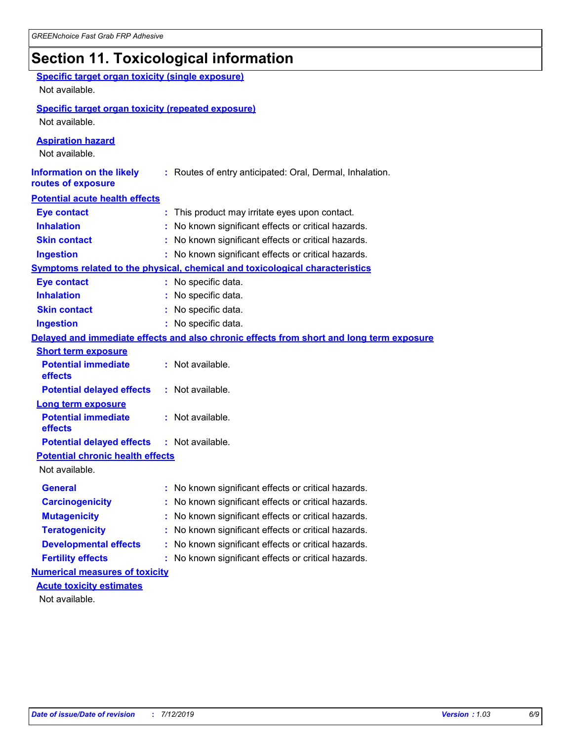# **Section 11. Toxicological information**

| <b>Specific target organ toxicity (single exposure)</b><br>Not available. |                                                                                          |
|---------------------------------------------------------------------------|------------------------------------------------------------------------------------------|
| <b>Specific target organ toxicity (repeated exposure)</b>                 |                                                                                          |
| Not available.                                                            |                                                                                          |
| <b>Aspiration hazard</b><br>Not available.                                |                                                                                          |
| <b>Information on the likely</b><br>routes of exposure                    | : Routes of entry anticipated: Oral, Dermal, Inhalation.                                 |
| <b>Potential acute health effects</b>                                     |                                                                                          |
| <b>Eye contact</b>                                                        | : This product may irritate eyes upon contact.                                           |
| <b>Inhalation</b>                                                         | : No known significant effects or critical hazards.                                      |
| <b>Skin contact</b>                                                       | : No known significant effects or critical hazards.                                      |
| <b>Ingestion</b>                                                          | : No known significant effects or critical hazards.                                      |
|                                                                           | Symptoms related to the physical, chemical and toxicological characteristics             |
| <b>Eye contact</b>                                                        | : No specific data.                                                                      |
| <b>Inhalation</b>                                                         | : No specific data.                                                                      |
| <b>Skin contact</b>                                                       | No specific data.                                                                        |
| <b>Ingestion</b>                                                          | : No specific data.                                                                      |
|                                                                           | Delayed and immediate effects and also chronic effects from short and long term exposure |
| <b>Short term exposure</b>                                                |                                                                                          |
| <b>Potential immediate</b><br>effects                                     | : Not available.                                                                         |
| <b>Potential delayed effects</b>                                          | : Not available.                                                                         |
| <b>Long term exposure</b>                                                 |                                                                                          |
| <b>Potential immediate</b><br>effects                                     | : Not available.                                                                         |
| <b>Potential delayed effects</b>                                          | : Not available.                                                                         |
| <b>Potential chronic health effects</b>                                   |                                                                                          |
| Not available.                                                            |                                                                                          |
| <b>General</b>                                                            | No known significant effects or critical hazards.                                        |
| <b>Carcinogenicity</b>                                                    | : No known significant effects or critical hazards.                                      |
| <b>Mutagenicity</b>                                                       | No known significant effects or critical hazards.                                        |
| <b>Teratogenicity</b>                                                     | No known significant effects or critical hazards.                                        |
| <b>Developmental effects</b>                                              | No known significant effects or critical hazards.                                        |
| <b>Fertility effects</b>                                                  | No known significant effects or critical hazards.                                        |
| <b>Numerical measures of toxicity</b>                                     |                                                                                          |
| <b>Acute toxicity estimates</b>                                           |                                                                                          |
| Not available.                                                            |                                                                                          |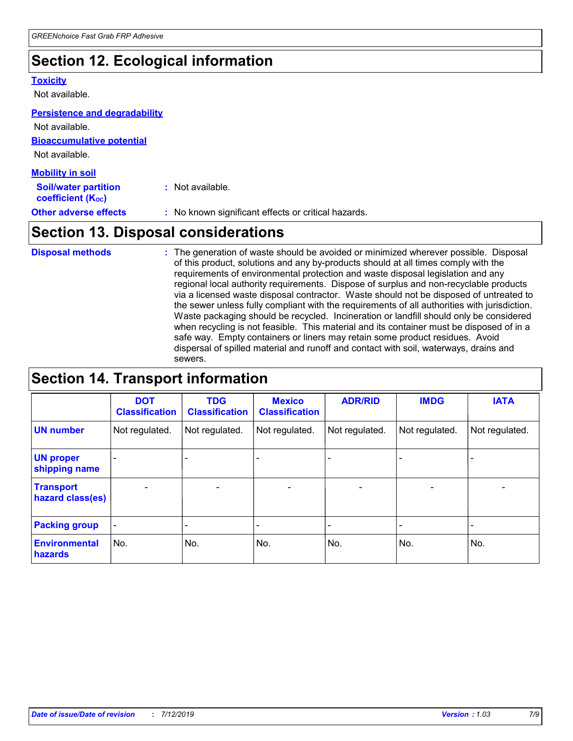# **Section 12. Ecological information**

#### **Toxicity**

Not available.

#### **Persistence and degradability**

**Bioaccumulative potential** Not available. Not available.

| <b>Mobility in soil</b>                                 |                                                     |
|---------------------------------------------------------|-----------------------------------------------------|
| <b>Soil/water partition</b><br><b>coefficient (Koc)</b> | : Not available.                                    |
| <b>Other adverse effects</b>                            | : No known significant effects or critical hazards. |

# **Section 13. Disposal considerations**

The generation of waste should be avoided or minimized wherever possible. Disposal of this product, solutions and any by-products should at all times comply with the requirements of environmental protection and waste disposal legislation and any regional local authority requirements. Dispose of surplus and non-recyclable products via a licensed waste disposal contractor. Waste should not be disposed of untreated to the sewer unless fully compliant with the requirements of all authorities with jurisdiction. Waste packaging should be recycled. Incineration or landfill should only be considered when recycling is not feasible. This material and its container must be disposed of in a safe way. Empty containers or liners may retain some product residues. Avoid dispersal of spilled material and runoff and contact with soil, waterways, drains and sewers. **Disposal methods :**

# **Section 14. Transport information**

|                                      | <b>DOT</b><br><b>Classification</b> | <b>TDG</b><br><b>Classification</b> | <b>Mexico</b><br><b>Classification</b> | <b>ADR/RID</b>               | <b>IMDG</b>              | <b>IATA</b>              |
|--------------------------------------|-------------------------------------|-------------------------------------|----------------------------------------|------------------------------|--------------------------|--------------------------|
| <b>UN number</b>                     | Not regulated.                      | Not regulated.                      | Not regulated.                         | Not regulated.               | Not regulated.           | Not regulated.           |
| <b>UN proper</b><br>shipping name    |                                     |                                     |                                        |                              |                          |                          |
| <b>Transport</b><br>hazard class(es) | $\overline{\phantom{0}}$            | $\overline{\phantom{0}}$            | $\qquad \qquad$                        | $\qquad \qquad \blacksquare$ | $\overline{\phantom{0}}$ | $\overline{\phantom{0}}$ |
| <b>Packing group</b>                 | $\blacksquare$                      | -                                   |                                        | -                            |                          | -                        |
| <b>Environmental</b><br>hazards      | No.                                 | No.                                 | No.                                    | No.                          | No.                      | No.                      |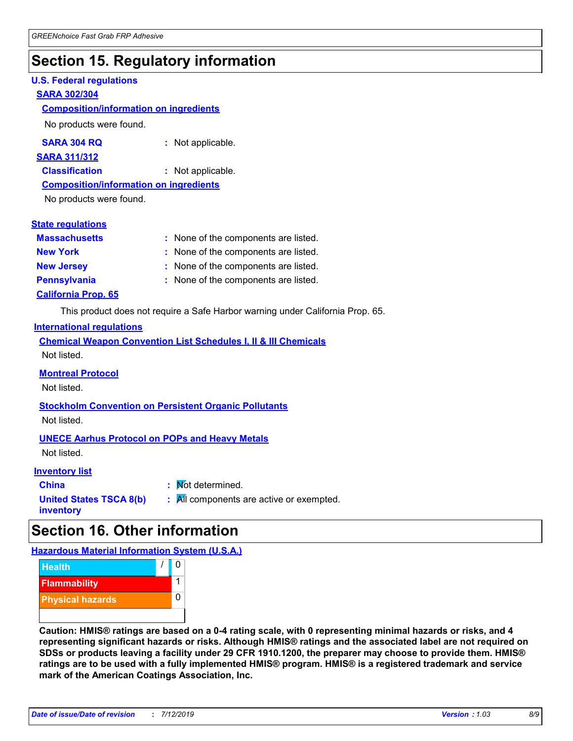# **Section 15. Regulatory information**

### **U.S. Federal regulations**

### **SARA 302/304**

### **Composition/information on ingredients**

No products were found.

| SARA 304 RQ | Not applicable. |
|-------------|-----------------|
|-------------|-----------------|

#### **SARA 311/312**

**Classification :** Not applicable.

**Composition/information on ingredients**

No products were found.

|  | <b>State regulations</b> |
|--|--------------------------|
|  |                          |

| <b>Massachusetts</b>       | : None of the components are listed. |
|----------------------------|--------------------------------------|
| <b>New York</b>            | : None of the components are listed. |
| <b>New Jersey</b>          | : None of the components are listed. |
| <b>Pennsylvania</b>        | : None of the components are listed. |
| <b>California Prop. 65</b> |                                      |

This product does not require a Safe Harbor warning under California Prop. 65.

### **International regulations**

|             |  |  | <b>Chemical Weapon Convention List Schedules I, II &amp; III Chemicals</b> |  |
|-------------|--|--|----------------------------------------------------------------------------|--|
| Not listed. |  |  |                                                                            |  |

### **Montreal Protocol**

Not listed.

**Stockholm Convention on Persistent Organic Pollutants** Not listed.

### **UNECE Aarhus Protocol on POPs and Heavy Metals**

Not listed.

### **Inventory list**

| <b>China</b>                                | : Mot determined.                                            |
|---------------------------------------------|--------------------------------------------------------------|
| <b>United States TSCA 8(b)</b><br>inventory | $\mathbf{R}$ $\mathbf{M}$ components are active or exempted. |

# **Section 16. Other information**

**Hazardous Material Information System (U.S.A.)**



**Caution: HMIS® ratings are based on a 0-4 rating scale, with 0 representing minimal hazards or risks, and 4 representing significant hazards or risks. Although HMIS® ratings and the associated label are not required on SDSs or products leaving a facility under 29 CFR 1910.1200, the preparer may choose to provide them. HMIS® ratings are to be used with a fully implemented HMIS® program. HMIS® is a registered trademark and service mark of the American Coatings Association, Inc.**